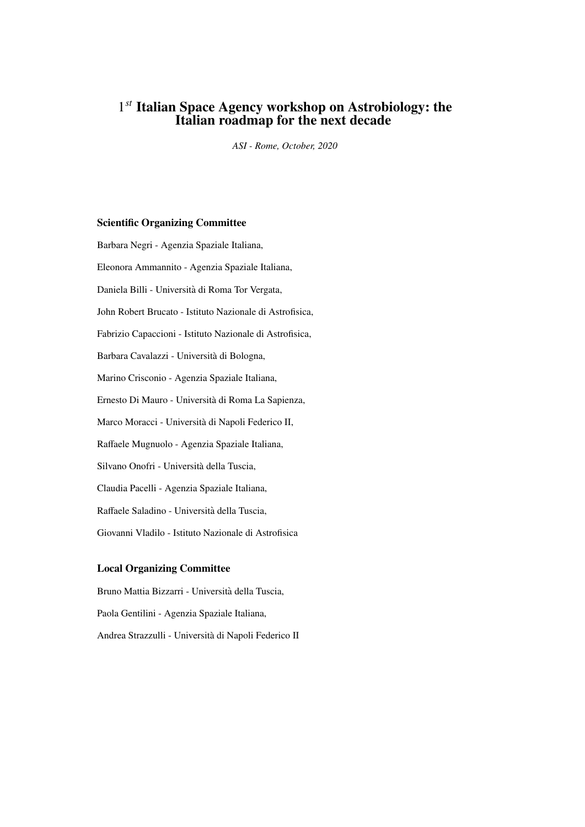# 1 *st* Italian Space Agency workshop on Astrobiology: the Italian roadmap for the next decade

*ASI - Rome, October, 2020*

#### Scientific Organizing Committee

Barbara Negri - Agenzia Spaziale Italiana, Eleonora Ammannito - Agenzia Spaziale Italiana, Daniela Billi - Universita di Roma Tor Vergata, ` John Robert Brucato - Istituto Nazionale di Astrofisica, Fabrizio Capaccioni - Istituto Nazionale di Astrofisica, Barbara Cavalazzi - Universita di Bologna, ` Marino Crisconio - Agenzia Spaziale Italiana, Ernesto Di Mauro - Universita di Roma La Sapienza, ` Marco Moracci - Universita di Napoli Federico II, ` Raffaele Mugnuolo - Agenzia Spaziale Italiana, Silvano Onofri - Universita della Tuscia, ` Claudia Pacelli - Agenzia Spaziale Italiana, Raffaele Saladino - Universita della Tuscia, ` Giovanni Vladilo - Istituto Nazionale di Astrofisica

#### Local Organizing Committee

Bruno Mattia Bizzarri - Universita della Tuscia, ` Paola Gentilini - Agenzia Spaziale Italiana, Andrea Strazzulli - Universita di Napoli Federico II `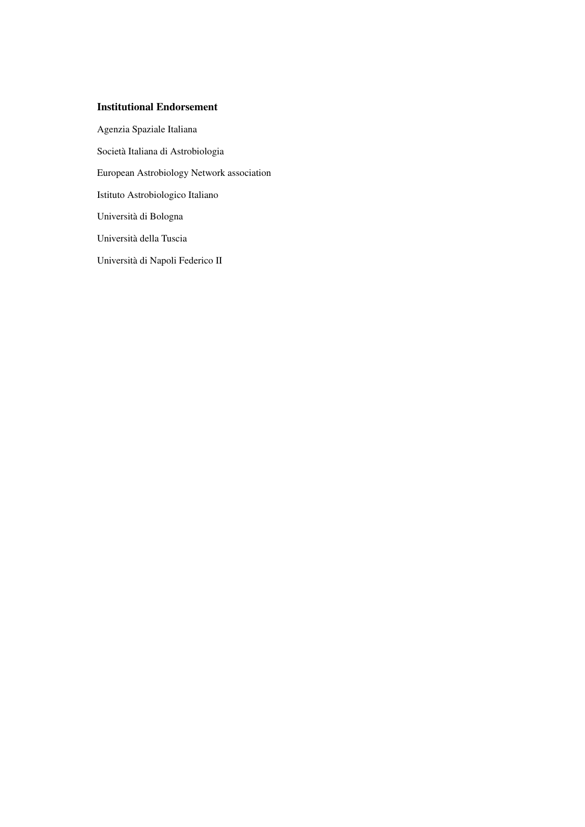### Institutional Endorsement

Agenzia Spaziale Italiana Societa Italiana di Astrobiologia ` European Astrobiology Network association Istituto Astrobiologico Italiano Universita di Bologna ` Universita della Tuscia ` Universita di Napoli Federico II `